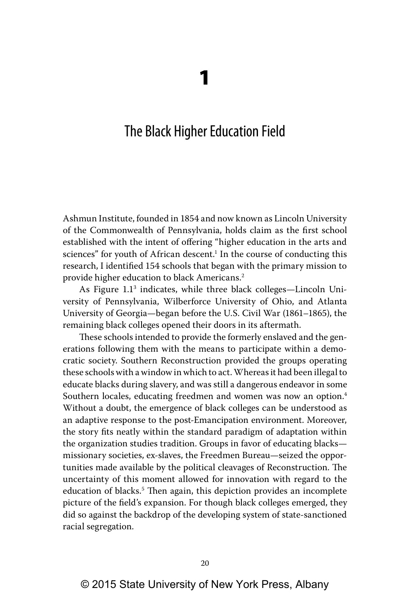# The Black Higher Education Field

Ashmun Institute, founded in 1854 and now known as Lincoln University of the Commonwealth of Pennsylvania, holds claim as the first school established with the intent of offering "higher education in the arts and sciences" for youth of African descent.<sup>1</sup> In the course of conducting this research, I identified 154 schools that began with the primary mission to provide higher education to black Americans.2

As Figure 1.1<sup>3</sup> indicates, while three black colleges—Lincoln University of Pennsylvania, Wilberforce University of Ohio, and Atlanta University of Georgia—began before the U.S. Civil War (1861–1865), the remaining black colleges opened their doors in its aftermath.

These schools intended to provide the formerly enslaved and the generations following them with the means to participate within a democratic society. Southern Reconstruction provided the groups operating these schools with a window in which to act. Whereas it had been illegal to educate blacks during slavery, and was still a dangerous endeavor in some Southern locales, educating freedmen and women was now an option.<sup>4</sup> Without a doubt, the emergence of black colleges can be understood as an adaptive response to the post-Emancipation environment. Moreover, the story fits neatly within the standard paradigm of adaptation within the organization studies tradition. Groups in favor of educating blacks missionary societies, ex- slaves, the Freedmen Bureau—seized the opportunities made available by the political cleavages of Reconstruction. The uncertainty of this moment allowed for innovation with regard to the education of blacks.<sup>5</sup> Then again, this depiction provides an incomplete picture of the field's expansion. For though black colleges emerged, they did so against the backdrop of the developing system of state- sanctioned racial segregation.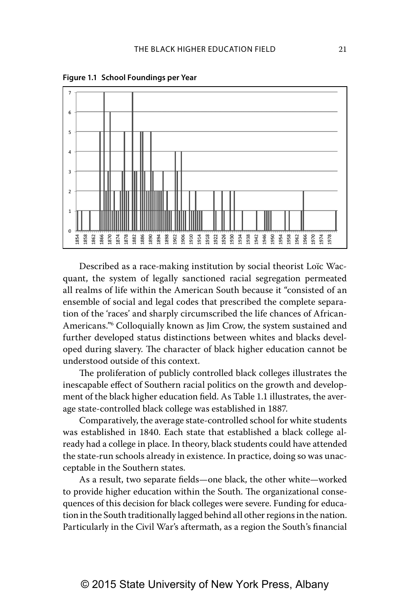

**Figure 1.1 School Foundings per Year**

Described as a race-making institution by social theorist Loïc Wacquant, the system of legally sanctioned racial segregation permeated all realms of life within the American South because it "consisted of an ensemble of social and legal codes that prescribed the complete separation of the 'races' and sharply circumscribed the life chances of African-Americans."6 Colloquially known as Jim Crow, the system sustained and further developed status distinctions between whites and blacks developed during slavery. The character of black higher education cannot be understood outside of this context.

The proliferation of publicly controlled black colleges illustrates the inescapable effect of Southern racial politics on the growth and development of the black higher education field. As Table 1.1 illustrates, the average state- controlled black college was established in 1887.

Comparatively, the average state- controlled school for white students was established in 1840. Each state that established a black college already had a college in place. In theory, black students could have attended the state-run schools already in existence. In practice, doing so was unacceptable in the Southern states.

As a result, two separate fields—one black, the other white—worked to provide higher education within the South. The organizational consequences of this decision for black colleges were severe. Funding for education in the South traditionally lagged behind all other regions in the nation. Particularly in the Civil War's aftermath, as a region the South's financial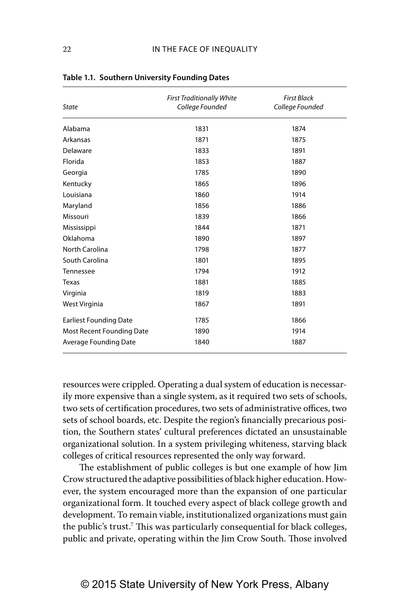| <b>State</b>                  | <b>First Traditionally White</b><br>College Founded | <b>First Black</b><br>College Founded |
|-------------------------------|-----------------------------------------------------|---------------------------------------|
| Alabama                       | 1831                                                | 1874                                  |
| Arkansas                      | 1871                                                | 1875                                  |
| Delaware                      | 1833                                                | 1891                                  |
| Florida                       | 1853                                                | 1887                                  |
| Georgia                       | 1785                                                | 1890                                  |
| Kentucky                      | 1865                                                | 1896                                  |
| Louisiana                     | 1860                                                | 1914                                  |
| Maryland                      | 1856                                                | 1886                                  |
| Missouri                      | 1839                                                | 1866                                  |
| Mississippi                   | 1844                                                | 1871                                  |
| Oklahoma                      | 1890                                                | 1897                                  |
| <b>North Carolina</b>         | 1798                                                | 1877                                  |
| South Carolina                | 1801                                                | 1895                                  |
| Tennessee                     | 1794                                                | 1912                                  |
| Texas                         | 1881                                                | 1885                                  |
| Virginia                      | 1819                                                | 1883                                  |
| West Virginia                 | 1867                                                | 1891                                  |
| <b>Earliest Founding Date</b> | 1785                                                | 1866                                  |
| Most Recent Founding Date     | 1890                                                | 1914                                  |
| Average Founding Date         | 1840                                                | 1887                                  |

**Table 1.1. Southern University Founding Dates**

resources were crippled. Operating a dual system of education is necessarily more expensive than a single system, as it required two sets of schools, two sets of certification procedures, two sets of administrative offices, two sets of school boards, etc. Despite the region's financially precarious position, the Southern states' cultural preferences dictated an unsustainable organizational solution. In a system privileging whiteness, starving black colleges of critical resources represented the only way forward.

The establishment of public colleges is but one example of how Jim Crow structured the adaptive possibilities of black higher education. However, the system encouraged more than the expansion of one particular organizational form. It touched every aspect of black college growth and development. To remain viable, institutionalized organizations must gain the public's trust.7 This was particularly consequential for black colleges, public and private, operating within the Jim Crow South. Those involved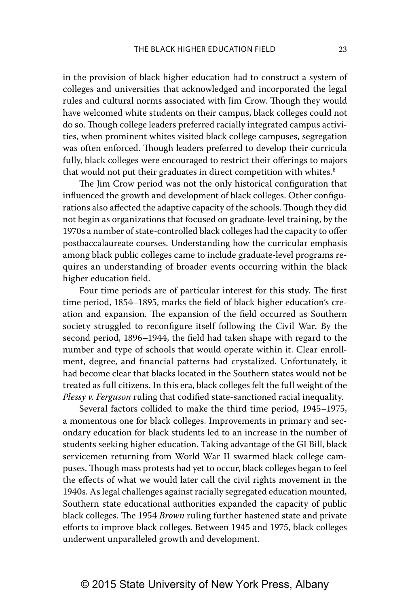in the provision of black higher education had to construct a system of colleges and universities that acknowledged and incorporated the legal rules and cultural norms associated with Jim Crow. Though they would have welcomed white students on their campus, black colleges could not do so. Though college leaders preferred racially integrated campus activities, when prominent whites visited black college campuses, segregation was often enforced. Though leaders preferred to develop their curricula fully, black colleges were encouraged to restrict their offerings to majors that would not put their graduates in direct competition with whites.<sup>8</sup>

The Jim Crow period was not the only historical configuration that influenced the growth and development of black colleges. Other configurations also affected the adaptive capacity of the schools. Though they did not begin as organizations that focused on graduate- level training, by the 1970s a number of state- controlled black colleges had the capacity to offer postbaccalaureate courses. Understanding how the curricular emphasis among black public colleges came to include graduate- level programs requires an understanding of broader events occurring within the black higher education field.

Four time periods are of particular interest for this study. The first time period, 1854–1895, marks the field of black higher education's creation and expansion. The expansion of the field occurred as Southern society struggled to reconfigure itself following the Civil War. By the second period, 1896–1944, the field had taken shape with regard to the number and type of schools that would operate within it. Clear enrollment, degree, and financial patterns had crystalized. Unfortunately, it had become clear that blacks located in the Southern states would not be treated as full citizens. In this era, black colleges felt the full weight of the *Plessy v. Ferguson* ruling that codified state- sanctioned racial inequality.

Several factors collided to make the third time period, 1945–1975, a momentous one for black colleges. Improvements in primary and secondary education for black students led to an increase in the number of students seeking higher education. Taking advantage of the GI Bill, black servicemen returning from World War II swarmed black college campuses. Though mass protests had yet to occur, black colleges began to feel the effects of what we would later call the civil rights movement in the 1940s. As legal challenges against racially segregated education mounted, Southern state educational authorities expanded the capacity of public black colleges. The 1954 *Brown* ruling further hastened state and private efforts to improve black colleges. Between 1945 and 1975, black colleges underwent unparalleled growth and development.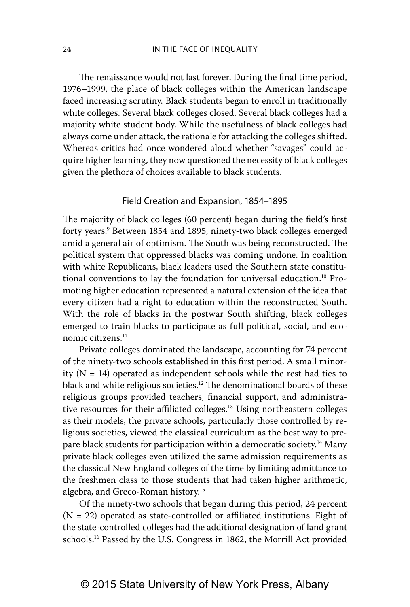The renaissance would not last forever. During the final time period, 1976–1999, the place of black colleges within the American landscape faced increasing scrutiny. Black students began to enroll in traditionally white colleges. Several black colleges closed. Several black colleges had a majority white student body. While the usefulness of black colleges had always come under attack, the rationale for attacking the colleges shifted. Whereas critics had once wondered aloud whether "savages" could acquire higher learning, they now questioned the necessity of black colleges given the plethora of choices available to black students.

#### Field Creation and Expansion, 1854–1895

The majority of black colleges (60 percent) began during the field's first forty years.<sup>9</sup> Between 1854 and 1895, ninety-two black colleges emerged amid a general air of optimism. The South was being reconstructed. The political system that oppressed blacks was coming undone. In coalition with white Republicans, black leaders used the Southern state constitutional conventions to lay the foundation for universal education.<sup>10</sup> Promoting higher education represented a natural extension of the idea that every citizen had a right to education within the reconstructed South. With the role of blacks in the postwar South shifting, black colleges emerged to train blacks to participate as full political, social, and economic citizens.11

Private colleges dominated the landscape, accounting for 74 percent of the ninety-two schools established in this first period. A small minority  $(N = 14)$  operated as independent schools while the rest had ties to black and white religious societies.<sup>12</sup> The denominational boards of these religious groups provided teachers, financial support, and administrative resources for their affiliated colleges.<sup>13</sup> Using northeastern colleges as their models, the private schools, particularly those controlled by religious societies, viewed the classical curriculum as the best way to prepare black students for participation within a democratic society.<sup>14</sup> Many private black colleges even utilized the same admission requirements as the classical New England colleges of the time by limiting admittance to the freshmen class to those students that had taken higher arithmetic, algebra, and Greco-Roman history.<sup>15</sup>

Of the ninety-two schools that began during this period, 24 percent  $(N = 22)$  operated as state-controlled or affiliated institutions. Eight of the state- controlled colleges had the additional designation of land grant schools.<sup>16</sup> Passed by the U.S. Congress in 1862, the Morrill Act provided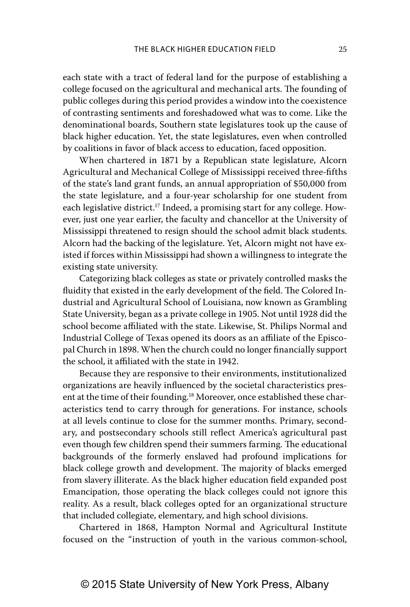each state with a tract of federal land for the purpose of establishing a college focused on the agricultural and mechanical arts. The founding of public colleges during this period provides a window into the coexistence of contrasting sentiments and foreshadowed what was to come. Like the denominational boards, Southern state legislatures took up the cause of black higher education. Yet, the state legislatures, even when controlled by coalitions in favor of black access to education, faced opposition.

When chartered in 1871 by a Republican state legislature, Alcorn Agricultural and Mechanical College of Mississippi received three- fifths of the state's land grant funds, an annual appropriation of \$50,000 from the state legislature, and a four-year scholarship for one student from each legislative district.<sup>17</sup> Indeed, a promising start for any college. However, just one year earlier, the faculty and chancellor at the University of Mississippi threatened to resign should the school admit black students. Alcorn had the backing of the legislature. Yet, Alcorn might not have existed if forces within Mississippi had shown a willingness to integrate the existing state university.

Categorizing black colleges as state or privately controlled masks the fluidity that existed in the early development of the field. The Colored Industrial and Agricultural School of Louisiana, now known as Grambling State University, began as a private college in 1905. Not until 1928 did the school become affiliated with the state. Likewise, St. Philips Normal and Industrial College of Texas opened its doors as an affiliate of the Episcopal Church in 1898. When the church could no longer financially support the school, it affiliated with the state in 1942.

Because they are responsive to their environments, institutionalized organizations are heavily influenced by the societal characteristics present at the time of their founding.<sup>18</sup> Moreover, once established these characteristics tend to carry through for generations. For instance, schools at all levels continue to close for the summer months. Primary, secondary, and postsecondary schools still reflect America's agricultural past even though few children spend their summers farming. The educational backgrounds of the formerly enslaved had profound implications for black college growth and development. The majority of blacks emerged from slavery illiterate. As the black higher education field expanded post Emancipation, those operating the black colleges could not ignore this reality. As a result, black colleges opted for an organizational structure that included collegiate, elementary, and high school divisions.

Chartered in 1868, Hampton Normal and Agricultural Institute focused on the "instruction of youth in the various common-school,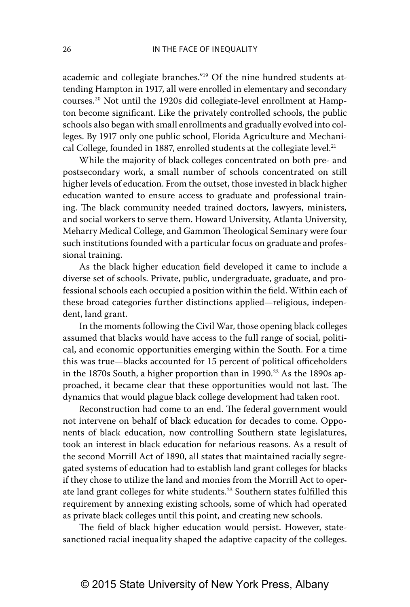academic and collegiate branches."<sup>19</sup> Of the nine hundred students attending Hampton in 1917, all were enrolled in elementary and secondary courses.20 Not until the 1920s did collegiate- level enrollment at Hampton become significant. Like the privately controlled schools, the public schools also began with small enrollments and gradually evolved into colleges. By 1917 only one public school, Florida Agriculture and Mechanical College, founded in 1887, enrolled students at the collegiate level.<sup>21</sup>

While the majority of black colleges concentrated on both pre- and postsecondary work, a small number of schools concentrated on still higher levels of education. From the outset, those invested in black higher education wanted to ensure access to graduate and professional training. The black community needed trained doctors, lawyers, ministers, and social workers to serve them. Howard University, Atlanta University, Meharry Medical College, and Gammon Theological Seminary were four such institutions founded with a particular focus on graduate and professional training.

As the black higher education field developed it came to include a diverse set of schools. Private, public, undergraduate, graduate, and professional schools each occupied a position within the field. Within each of these broad categories further distinctions applied—religious, independent, land grant.

In the moments following the Civil War, those opening black colleges assumed that blacks would have access to the full range of social, political, and economic opportunities emerging within the South. For a time this was true—blacks accounted for 15 percent of political officeholders in the 1870s South, a higher proportion than in 1990.<sup>22</sup> As the 1890s approached, it became clear that these opportunities would not last. The dynamics that would plague black college development had taken root.

Reconstruction had come to an end. The federal government would not intervene on behalf of black education for decades to come. Opponents of black education, now controlling Southern state legislatures, took an interest in black education for nefarious reasons. As a result of the second Morrill Act of 1890, all states that maintained racially segregated systems of education had to establish land grant colleges for blacks if they chose to utilize the land and monies from the Morrill Act to operate land grant colleges for white students.<sup>23</sup> Southern states fulfilled this requirement by annexing existing schools, some of which had operated as private black colleges until this point, and creating new schools.

The field of black higher education would persist. However, statesanctioned racial inequality shaped the adaptive capacity of the colleges.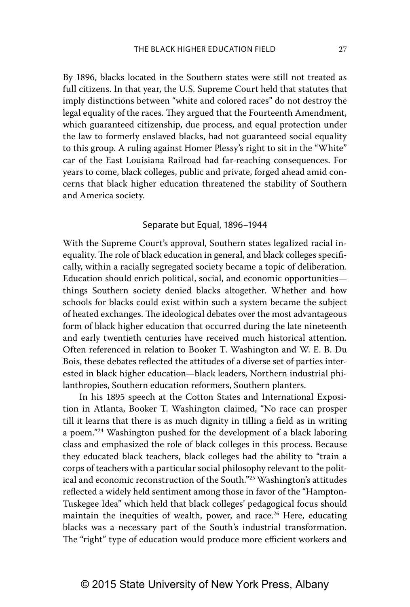By 1896, blacks located in the Southern states were still not treated as full citizens. In that year, the U.S. Supreme Court held that statutes that imply distinctions between "white and colored races" do not destroy the legal equality of the races. They argued that the Fourteenth Amendment, which guaranteed citizenship, due process, and equal protection under the law to formerly enslaved blacks, had not guaranteed social equality to this group. A ruling against Homer Plessy's right to sit in the "White" car of the East Louisiana Railroad had far- reaching consequences. For years to come, black colleges, public and private, forged ahead amid concerns that black higher education threatened the stability of Southern and America society.

#### Separate but Equal, 1896–1944

With the Supreme Court's approval, Southern states legalized racial inequality. The role of black education in general, and black colleges specifically, within a racially segregated society became a topic of deliberation. Education should enrich political, social, and economic opportunities things Southern society denied blacks altogether. Whether and how schools for blacks could exist within such a system became the subject of heated exchanges. The ideological debates over the most advantageous form of black higher education that occurred during the late nineteenth and early twentieth centuries have received much historical attention. Often referenced in relation to Booker T. Washington and W. E. B. Du Bois, these debates reflected the attitudes of a diverse set of parties interested in black higher education—black leaders, Northern industrial philanthropies, Southern education reformers, Southern planters.

In his 1895 speech at the Cotton States and International Exposition in Atlanta, Booker T. Washington claimed, "No race can prosper till it learns that there is as much dignity in tilling a field as in writing a poem."<sup>24</sup> Washington pushed for the development of a black laboring class and emphasized the role of black colleges in this process. Because they educated black teachers, black colleges had the ability to "train a corps of teachers with a particular social philosophy relevant to the political and economic reconstruction of the South."25 Washington's attitudes reflected a widely held sentiment among those in favor of the "Hampton-Tuskegee Idea" which held that black colleges' pedagogical focus should maintain the inequities of wealth, power, and race.<sup>26</sup> Here, educating blacks was a necessary part of the South's industrial transformation. The "right" type of education would produce more efficient workers and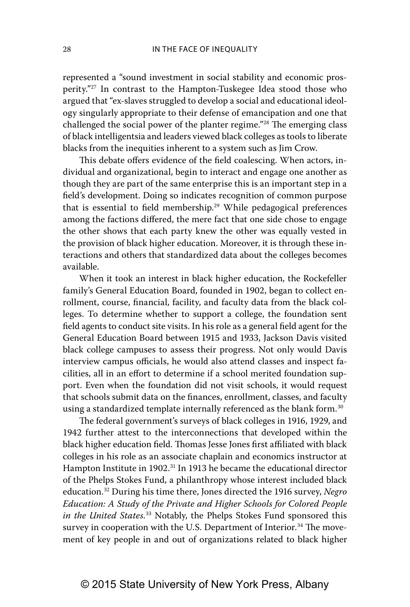represented a "sound investment in social stability and economic prosperity."<sup>27</sup> In contrast to the Hampton-Tuskegee Idea stood those who argued that "ex- slaves struggled to develop a social and educational ideology singularly appropriate to their defense of emancipation and one that challenged the social power of the planter regime."28 The emerging class of black intelligentsia and leaders viewed black colleges as tools to liberate blacks from the inequities inherent to a system such as Jim Crow.

This debate offers evidence of the field coalescing. When actors, individual and organizational, begin to interact and engage one another as though they are part of the same enterprise this is an important step in a field's development. Doing so indicates recognition of common purpose that is essential to field membership.<sup>29</sup> While pedagogical preferences among the factions differed, the mere fact that one side chose to engage the other shows that each party knew the other was equally vested in the provision of black higher education. Moreover, it is through these interactions and others that standardized data about the colleges becomes available.

When it took an interest in black higher education, the Rockefeller family's General Education Board, founded in 1902, began to collect enrollment, course, financial, facility, and faculty data from the black colleges. To determine whether to support a college, the foundation sent field agents to conduct site visits. In his role as a general field agent for the General Education Board between 1915 and 1933, Jackson Davis visited black college campuses to assess their progress. Not only would Davis interview campus officials, he would also attend classes and inspect facilities, all in an effort to determine if a school merited foundation support. Even when the foundation did not visit schools, it would request that schools submit data on the finances, enrollment, classes, and faculty using a standardized template internally referenced as the blank form.<sup>30</sup>

The federal government's surveys of black colleges in 1916, 1929, and 1942 further attest to the interconnections that developed within the black higher education field. Thomas Jesse Jones first affiliated with black colleges in his role as an associate chaplain and economics instructor at Hampton Institute in 1902.<sup>31</sup> In 1913 he became the educational director of the Phelps Stokes Fund, a philanthropy whose interest included black education.32 During his time there, Jones directed the 1916 survey, *Negro Education: A Study of the Private and Higher Schools for Colored People in the United States.*33 Notably, the Phelps Stokes Fund sponsored this survey in cooperation with the U.S. Department of Interior.<sup>34</sup> The movement of key people in and out of organizations related to black higher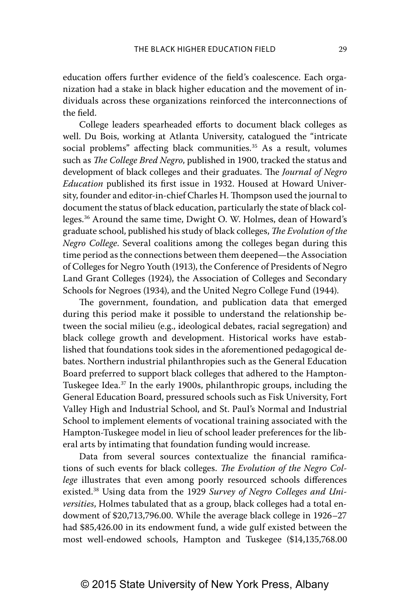education offers further evidence of the field's coalescence. Each organization had a stake in black higher education and the movement of individuals across these organizations reinforced the interconnections of the field.

College leaders spearheaded efforts to document black colleges as well. Du Bois, working at Atlanta University, catalogued the "intricate social problems" affecting black communities.<sup>35</sup> As a result, volumes such as *The College Bred Negro*, published in 1900, tracked the status and development of black colleges and their graduates. The *Journal of Negro Education* published its first issue in 1932. Housed at Howard University, founder and editor-in-chief Charles H. Thompson used the journal to document the status of black education, particularly the state of black colleges.36 Around the same time, Dwight O. W. Holmes, dean of Howard's graduate school, published his study of black colleges, *The Evolution of the Negro College*. Several coalitions among the colleges began during this time period as the connections between them deepened—the Association of Colleges for Negro Youth (1913), the Conference of Presidents of Negro Land Grant Colleges (1924), the Association of Colleges and Secondary Schools for Negroes (1934), and the United Negro College Fund (1944).

The government, foundation, and publication data that emerged during this period make it possible to understand the relationship between the social milieu (e.g., ideological debates, racial segregation) and black college growth and development. Historical works have established that foundations took sides in the aforementioned pedagogical debates. Northern industrial philanthropies such as the General Education Board preferred to support black colleges that adhered to the Hampton-Tuskegee Idea.<sup>37</sup> In the early 1900s, philanthropic groups, including the General Education Board, pressured schools such as Fisk University, Fort Valley High and Industrial School, and St. Paul's Normal and Industrial School to implement elements of vocational training associated with the Hampton-Tuskegee model in lieu of school leader preferences for the liberal arts by intimating that foundation funding would increase.

Data from several sources contextualize the financial ramifications of such events for black colleges. *The Evolution of the Negro College* illustrates that even among poorly resourced schools differences existed.38 Using data from the 1929 *Survey of Negro Colleges and Universities*, Holmes tabulated that as a group, black colleges had a total endowment of \$20,713,796.00. While the average black college in 1926–27 had \$85,426.00 in its endowment fund, a wide gulf existed between the most well-endowed schools, Hampton and Tuskegee (\$14,135,768.00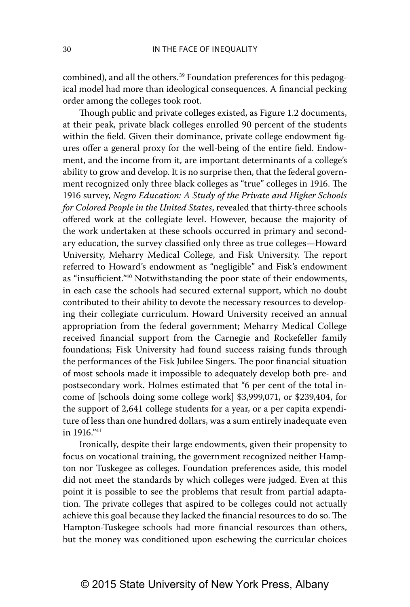combined), and all the others.<sup>39</sup> Foundation preferences for this pedagogical model had more than ideological consequences. A financial pecking order among the colleges took root.

Though public and private colleges existed, as Figure 1.2 documents, at their peak, private black colleges enrolled 90 percent of the students within the field. Given their dominance, private college endowment figures offer a general proxy for the well-being of the entire field. Endowment, and the income from it, are important determinants of a college's ability to grow and develop. It is no surprise then, that the federal government recognized only three black colleges as "true" colleges in 1916. The 1916 survey, *Negro Education: A Study of the Private and Higher Schools for Colored People in the United States*, revealed that thirty- three schools offered work at the collegiate level. However, because the majority of the work undertaken at these schools occurred in primary and secondary education, the survey classified only three as true colleges—Howard University, Meharry Medical College, and Fisk University. The report referred to Howard's endowment as "negligible" and Fisk's endowment as "insufficient."40 Notwithstanding the poor state of their endowments, in each case the schools had secured external support, which no doubt contributed to their ability to devote the necessary resources to developing their collegiate curriculum. Howard University received an annual appropriation from the federal government; Meharry Medical College received financial support from the Carnegie and Rockefeller family foundations; Fisk University had found success raising funds through the performances of the Fisk Jubilee Singers. The poor financial situation of most schools made it impossible to adequately develop both pre- and postsecondary work. Holmes estimated that "6 per cent of the total income of [schools doing some college work] \$3,999,071, or \$239,404, for the support of 2,641 college students for a year, or a per capita expenditure of less than one hundred dollars, was a sum entirely inadequate even in 1916."41

Ironically, despite their large endowments, given their propensity to focus on vocational training, the government recognized neither Hampton nor Tuskegee as colleges. Foundation preferences aside, this model did not meet the standards by which colleges were judged. Even at this point it is possible to see the problems that result from partial adaptation. The private colleges that aspired to be colleges could not actually achieve this goal because they lacked the financial resources to do so. The Hampton-Tuskegee schools had more financial resources than others, but the money was conditioned upon eschewing the curricular choices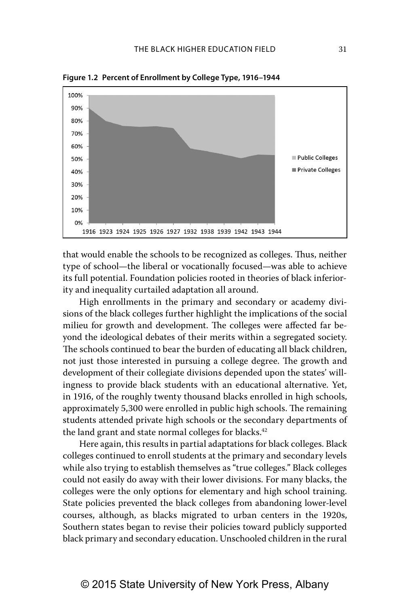

**Figure 1.2 Percent of Enrollment by College Type, 1916–1944**

that would enable the schools to be recognized as colleges. Thus, neither type of school—the liberal or vocationally focused—was able to achieve its full potential. Foundation policies rooted in theories of black inferiority and inequality curtailed adaptation all around.

High enrollments in the primary and secondary or academy divisions of the black colleges further highlight the implications of the social milieu for growth and development. The colleges were affected far beyond the ideological debates of their merits within a segregated society. The schools continued to bear the burden of educating all black children, not just those interested in pursuing a college degree. The growth and development of their collegiate divisions depended upon the states' willingness to provide black students with an educational alternative. Yet, in 1916, of the roughly twenty thousand blacks enrolled in high schools, approximately 5,300 were enrolled in public high schools. The remaining students attended private high schools or the secondary departments of the land grant and state normal colleges for blacks.<sup>42</sup>

Here again, this results in partial adaptations for black colleges. Black colleges continued to enroll students at the primary and secondary levels while also trying to establish themselves as "true colleges." Black colleges could not easily do away with their lower divisions. For many blacks, the colleges were the only options for elementary and high school training. State policies prevented the black colleges from abandoning lower-level courses, although, as blacks migrated to urban centers in the 1920s, Southern states began to revise their policies toward publicly supported black primary and secondary education. Unschooled children in the rural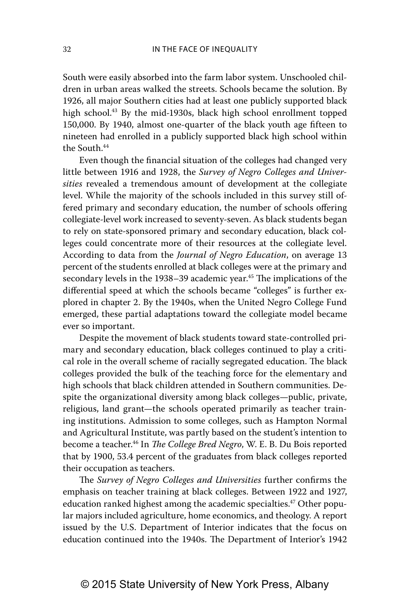South were easily absorbed into the farm labor system. Unschooled children in urban areas walked the streets. Schools became the solution. By 1926, all major Southern cities had at least one publicly supported black high school.<sup>43</sup> By the mid-1930s, black high school enrollment topped 150,000. By 1940, almost one- quarter of the black youth age fifteen to nineteen had enrolled in a publicly supported black high school within the South.44

Even though the financial situation of the colleges had changed very little between 1916 and 1928, the *Survey of Negro Colleges and Universities* revealed a tremendous amount of development at the collegiate level. While the majority of the schools included in this survey still offered primary and secondary education, the number of schools offering collegiate- level work increased to seventy- seven. As black students began to rely on state-sponsored primary and secondary education, black colleges could concentrate more of their resources at the collegiate level. According to data from the *Journal of Negro Education*, on average 13 percent of the students enrolled at black colleges were at the primary and secondary levels in the 1938–39 academic year.<sup>45</sup> The implications of the differential speed at which the schools became "colleges" is further explored in chapter 2. By the 1940s, when the United Negro College Fund emerged, these partial adaptations toward the collegiate model became ever so important.

Despite the movement of black students toward state- controlled primary and secondary education, black colleges continued to play a critical role in the overall scheme of racially segregated education. The black colleges provided the bulk of the teaching force for the elementary and high schools that black children attended in Southern communities. Despite the organizational diversity among black colleges—public, private, religious, land grant—the schools operated primarily as teacher training institutions. Admission to some colleges, such as Hampton Normal and Agricultural Institute, was partly based on the student's intention to become a teacher.46 In *The College Bred Negro*, W. E. B. Du Bois reported that by 1900, 53.4 percent of the graduates from black colleges reported their occupation as teachers.

The *Survey of Negro Colleges and Universities* further confirms the emphasis on teacher training at black colleges. Between 1922 and 1927, education ranked highest among the academic specialties.<sup>47</sup> Other popular majors included agriculture, home economics, and theology. A report issued by the U.S. Department of Interior indicates that the focus on education continued into the 1940s. The Department of Interior's 1942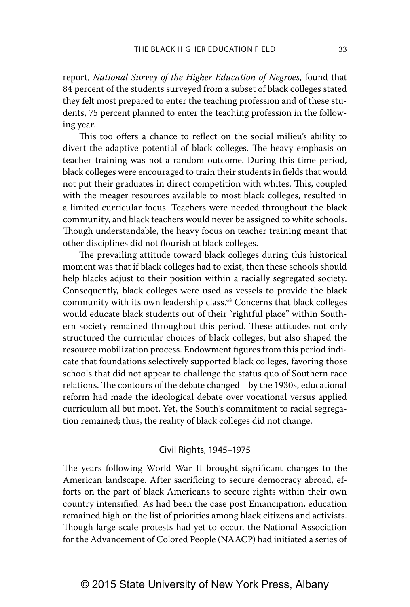report, *National Survey of the Higher Education of Negroes*, found that 84 percent of the students surveyed from a subset of black colleges stated they felt most prepared to enter the teaching profession and of these students, 75 percent planned to enter the teaching profession in the following year.

This too offers a chance to reflect on the social milieu's ability to divert the adaptive potential of black colleges. The heavy emphasis on teacher training was not a random outcome. During this time period, black colleges were encouraged to train their students in fields that would not put their graduates in direct competition with whites. This, coupled with the meager resources available to most black colleges, resulted in a limited curricular focus. Teachers were needed throughout the black community, and black teachers would never be assigned to white schools. Though understandable, the heavy focus on teacher training meant that other disciplines did not flourish at black colleges.

The prevailing attitude toward black colleges during this historical moment was that if black colleges had to exist, then these schools should help blacks adjust to their position within a racially segregated society. Consequently, black colleges were used as vessels to provide the black community with its own leadership class.<sup>48</sup> Concerns that black colleges would educate black students out of their "rightful place" within Southern society remained throughout this period. These attitudes not only structured the curricular choices of black colleges, but also shaped the resource mobilization process. Endowment figures from this period indicate that foundations selectively supported black colleges, favoring those schools that did not appear to challenge the status quo of Southern race relations. The contours of the debate changed—by the 1930s, educational reform had made the ideological debate over vocational versus applied curriculum all but moot. Yet, the South's commitment to racial segregation remained; thus, the reality of black colleges did not change.

### Civil Rights, 1945–1975

The years following World War II brought significant changes to the American landscape. After sacrificing to secure democracy abroad, efforts on the part of black Americans to secure rights within their own country intensified. As had been the case post Emancipation, education remained high on the list of priorities among black citizens and activists. Though large-scale protests had yet to occur, the National Association for the Advancement of Colored People (NAACP) had initiated a series of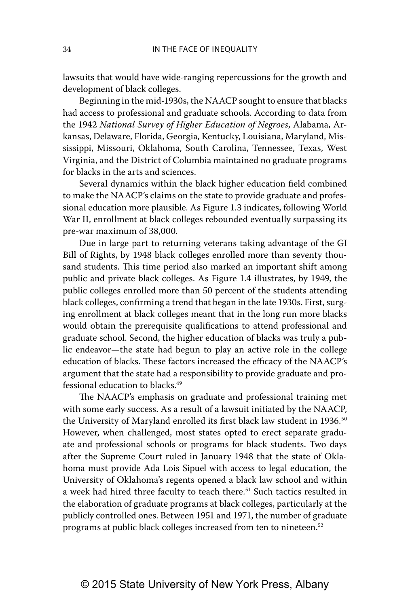lawsuits that would have wide-ranging repercussions for the growth and development of black colleges.

Beginning in the mid-1930s, the NAACP sought to ensure that blacks had access to professional and graduate schools. According to data from the 1942 *National Survey of Higher Education of Negroes*, Alabama, Arkansas, Delaware, Florida, Georgia, Kentucky, Louisiana, Maryland, Mississippi, Missouri, Oklahoma, South Carolina, Tennessee, Texas, West Virginia, and the District of Columbia maintained no graduate programs for blacks in the arts and sciences.

Several dynamics within the black higher education field combined to make the NAACP's claims on the state to provide graduate and professional education more plausible. As Figure 1.3 indicates, following World War II, enrollment at black colleges rebounded eventually surpassing its pre-war maximum of 38,000.

Due in large part to returning veterans taking advantage of the GI Bill of Rights, by 1948 black colleges enrolled more than seventy thousand students. This time period also marked an important shift among public and private black colleges. As Figure 1.4 illustrates, by 1949, the public colleges enrolled more than 50 percent of the students attending black colleges, confirming a trend that began in the late 1930s. First, surging enrollment at black colleges meant that in the long run more blacks would obtain the prerequisite qualifications to attend professional and graduate school. Second, the higher education of blacks was truly a public endeavor—the state had begun to play an active role in the college education of blacks. These factors increased the efficacy of the NAACP's argument that the state had a responsibility to provide graduate and professional education to blacks.49

The NAACP's emphasis on graduate and professional training met with some early success. As a result of a lawsuit initiated by the NAACP, the University of Maryland enrolled its first black law student in 1936.<sup>50</sup> However, when challenged, most states opted to erect separate graduate and professional schools or programs for black students. Two days after the Supreme Court ruled in January 1948 that the state of Oklahoma must provide Ada Lois Sipuel with access to legal education, the University of Oklahoma's regents opened a black law school and within a week had hired three faculty to teach there.<sup>51</sup> Such tactics resulted in the elaboration of graduate programs at black colleges, particularly at the publicly controlled ones. Between 1951 and 1971, the number of graduate programs at public black colleges increased from ten to nineteen.52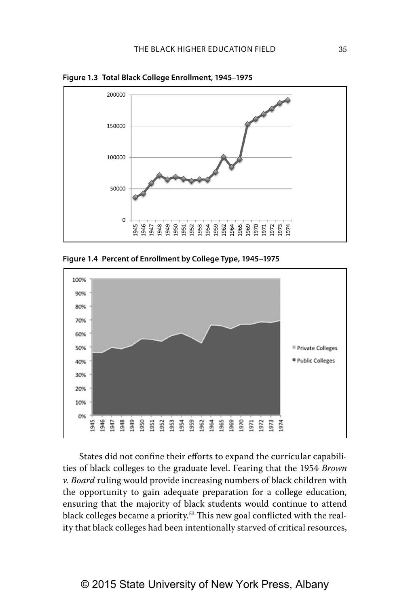

**Figure 1.3 Total Black College Enrollment, 1945–1975**

**Figure 1.4 Percent of Enrollment by College Type, 1945–1975**



States did not confine their efforts to expand the curricular capabilities of black colleges to the graduate level. Fearing that the 1954 *Brown v. Board* ruling would provide increasing numbers of black children with the opportunity to gain adequate preparation for a college education, ensuring that the majority of black students would continue to attend black colleges became a priority.<sup>53</sup> This new goal conflicted with the reality that black colleges had been intentionally starved of critical resources,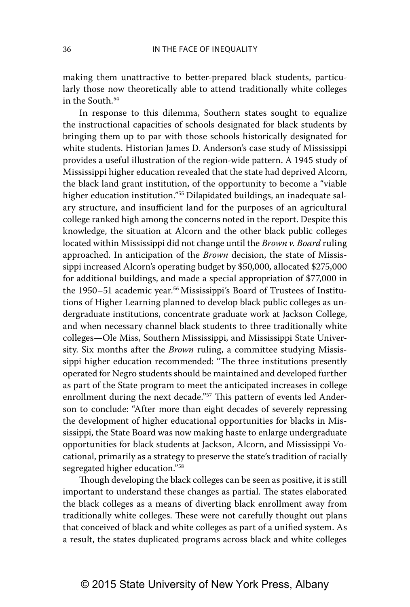making them unattractive to better-prepared black students, particularly those now theoretically able to attend traditionally white colleges in the South.<sup>54</sup>

In response to this dilemma, Southern states sought to equalize the instructional capacities of schools designated for black students by bringing them up to par with those schools historically designated for white students. Historian James D. Anderson's case study of Mississippi provides a useful illustration of the region-wide pattern. A 1945 study of Mississippi higher education revealed that the state had deprived Alcorn, the black land grant institution, of the opportunity to become a "viable higher education institution."55 Dilapidated buildings, an inadequate salary structure, and insufficient land for the purposes of an agricultural college ranked high among the concerns noted in the report. Despite this knowledge, the situation at Alcorn and the other black public colleges located within Mississippi did not change until the *Brown v. Board* ruling approached. In anticipation of the *Brown* decision, the state of Mississippi increased Alcorn's operating budget by \$50,000, allocated \$275,000 for additional buildings, and made a special appropriation of \$77,000 in the 1950–51 academic year.<sup>56</sup> Mississippi's Board of Trustees of Institutions of Higher Learning planned to develop black public colleges as undergraduate institutions, concentrate graduate work at Jackson College, and when necessary channel black students to three traditionally white colleges—Ole Miss, Southern Mississippi, and Mississippi State University. Six months after the *Brown* ruling, a committee studying Mississippi higher education recommended: "The three institutions presently operated for Negro students should be maintained and developed further as part of the State program to meet the anticipated increases in college enrollment during the next decade."<sup>57</sup> This pattern of events led Anderson to conclude: "After more than eight decades of severely repressing the development of higher educational opportunities for blacks in Mississippi, the State Board was now making haste to enlarge undergraduate opportunities for black students at Jackson, Alcorn, and Mississippi Vocational, primarily as a strategy to preserve the state's tradition of racially segregated higher education."58

Though developing the black colleges can be seen as positive, it is still important to understand these changes as partial. The states elaborated the black colleges as a means of diverting black enrollment away from traditionally white colleges. These were not carefully thought out plans that conceived of black and white colleges as part of a unified system. As a result, the states duplicated programs across black and white colleges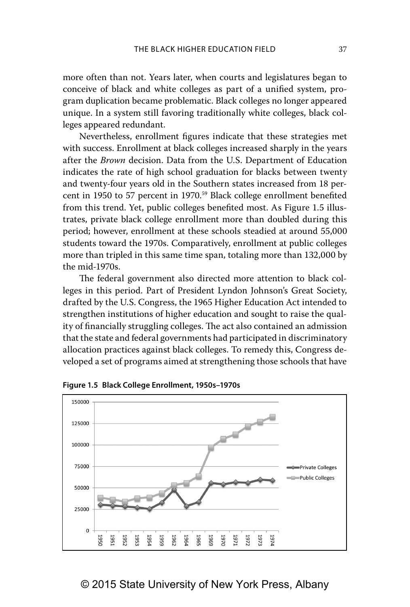more often than not. Years later, when courts and legislatures began to conceive of black and white colleges as part of a unified system, program duplication became problematic. Black colleges no longer appeared unique. In a system still favoring traditionally white colleges, black colleges appeared redundant.

Nevertheless, enrollment figures indicate that these strategies met with success. Enrollment at black colleges increased sharply in the years after the *Brown* decision. Data from the U.S. Department of Education indicates the rate of high school graduation for blacks between twenty and twenty-four years old in the Southern states increased from 18 percent in 1950 to 57 percent in 1970.<sup>59</sup> Black college enrollment benefited from this trend. Yet, public colleges benefited most. As Figure 1.5 illustrates, private black college enrollment more than doubled during this period; however, enrollment at these schools steadied at around 55,000 students toward the 1970s. Comparatively, enrollment at public colleges more than tripled in this same time span, totaling more than 132,000 by the mid-1970s.

The federal government also directed more attention to black colleges in this period. Part of President Lyndon Johnson's Great Society, drafted by the U.S. Congress, the 1965 Higher Education Act intended to strengthen institutions of higher education and sought to raise the quality of financially struggling colleges. The act also contained an admission that the state and federal governments had participated in discriminatory allocation practices against black colleges. To remedy this, Congress developed a set of programs aimed at strengthening those schools that have



**Figure 1.5 Black College Enrollment, 1950s–1970s**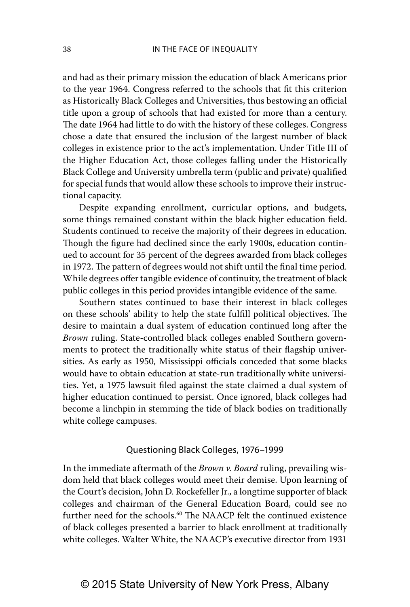and had as their primary mission the education of black Americans prior to the year 1964. Congress referred to the schools that fit this criterion as Historically Black Colleges and Universities, thus bestowing an official title upon a group of schools that had existed for more than a century. The date 1964 had little to do with the history of these colleges. Congress chose a date that ensured the inclusion of the largest number of black colleges in existence prior to the act's implementation. Under Title III of the Higher Education Act, those colleges falling under the Historically Black College and University umbrella term (public and private) qualified for special funds that would allow these schools to improve their instructional capacity.

Despite expanding enrollment, curricular options, and budgets, some things remained constant within the black higher education field. Students continued to receive the majority of their degrees in education. Though the figure had declined since the early 1900s, education continued to account for 35 percent of the degrees awarded from black colleges in 1972. The pattern of degrees would not shift until the final time period. While degrees offer tangible evidence of continuity, the treatment of black public colleges in this period provides intangible evidence of the same.

Southern states continued to base their interest in black colleges on these schools' ability to help the state fulfill political objectives. The desire to maintain a dual system of education continued long after the *Brown* ruling. State- controlled black colleges enabled Southern governments to protect the traditionally white status of their flagship universities. As early as 1950, Mississippi officials conceded that some blacks would have to obtain education at state- run traditionally white universities. Yet, a 1975 lawsuit filed against the state claimed a dual system of higher education continued to persist. Once ignored, black colleges had become a linchpin in stemming the tide of black bodies on traditionally white college campuses.

### Questioning Black Colleges, 1976–1999

In the immediate aftermath of the *Brown v. Board* ruling, prevailing wisdom held that black colleges would meet their demise. Upon learning of the Court's decision, John D. Rockefeller Jr., a longtime supporter of black colleges and chairman of the General Education Board, could see no further need for the schools.<sup>60</sup> The NAACP felt the continued existence of black colleges presented a barrier to black enrollment at traditionally white colleges. Walter White, the NAACP's executive director from 1931